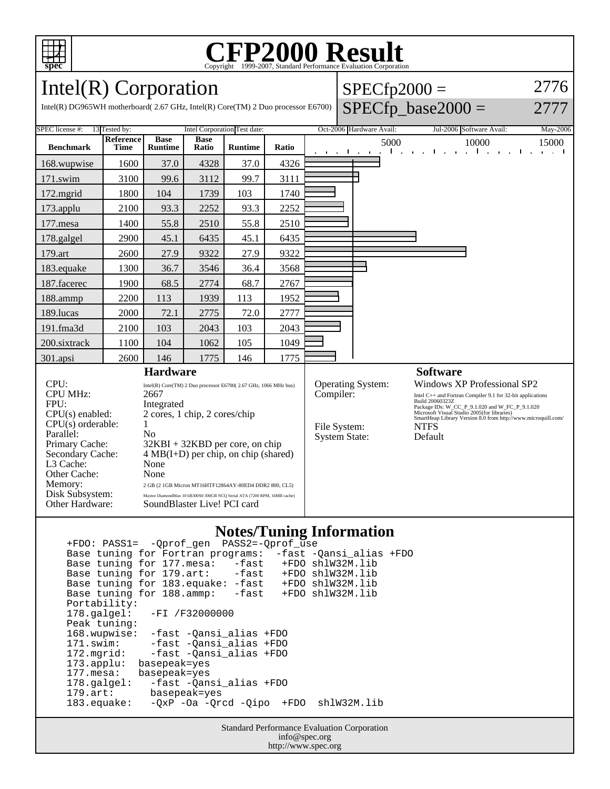

# Copyright ©1999-2007, Standard Performance Evaluation Corporation

 $SPECfp2000 =$ 

SPECfp base2000  $=$ 

2776

2777

Intel(R) Corporation

Intel(R) DG965WH motherboard( 2.67 GHz, Intel(R) Core(TM) 2 Duo processor E6700)

| Oct-2006 Hardware Avail:<br>Jul-2006 Software Avail:<br>May-2006                                                                                                                                                                                                          |  |  |  |
|---------------------------------------------------------------------------------------------------------------------------------------------------------------------------------------------------------------------------------------------------------------------------|--|--|--|
| 15000<br>and the state of<br>$\mathbf{I}$                                                                                                                                                                                                                                 |  |  |  |
|                                                                                                                                                                                                                                                                           |  |  |  |
|                                                                                                                                                                                                                                                                           |  |  |  |
|                                                                                                                                                                                                                                                                           |  |  |  |
|                                                                                                                                                                                                                                                                           |  |  |  |
|                                                                                                                                                                                                                                                                           |  |  |  |
|                                                                                                                                                                                                                                                                           |  |  |  |
|                                                                                                                                                                                                                                                                           |  |  |  |
|                                                                                                                                                                                                                                                                           |  |  |  |
|                                                                                                                                                                                                                                                                           |  |  |  |
|                                                                                                                                                                                                                                                                           |  |  |  |
|                                                                                                                                                                                                                                                                           |  |  |  |
|                                                                                                                                                                                                                                                                           |  |  |  |
|                                                                                                                                                                                                                                                                           |  |  |  |
|                                                                                                                                                                                                                                                                           |  |  |  |
| <b>Software</b><br>Operating System:                                                                                                                                                                                                                                      |  |  |  |
| Intel C++ and Fortran Compiler 9.1 for 32-bit applications<br>Build 20060323Z<br>Package IDs: W_CC_P_9.1.020 and W_FC_P_9.1.020<br>Microsoft Visual Studio 2005(for libraries)<br>SmartHeap Library Version 8.0 from http://www.microquill.com/<br><b>NTFS</b><br>Default |  |  |  |
| Windows XP Professional SP2                                                                                                                                                                                                                                               |  |  |  |

#### **Notes/Tuning Information**

 +FDO: PASS1= -Qprof\_gen PASS2=-Qprof\_use Base tuning for Fortran programs: -fast -Qansi\_alias +FDO Base tuning for 177.mesa: -fast +FDO shlW32M.lib<br>Base tuning for 179.art: -fast +FDO shlW32M.lib Base tuning for 179.art: -fast +FDO shlW32M.lib Base tuning for 183.equake: -fast +FDO shlW32M.lib Base tuning for 188.ammp: -fast +FDO shlW32M.lib Portability:<br>178.galgel: -FI /F32000000 Peak tuning: 168.wupwise: -fast -Qansi\_alias +FDO 171.swim: -fast -Qansi\_alias +FDO 172.mgrid: -fast -Qansi\_alias +FDO 173.applu: basepeak=yes<br>177.mesa: basepeak=yes 177.mesa: basepeak=yes<br>178.galgel: -fast -Qan -fast -Qansi\_alias +FDO 179.art: basepeak=yes -QxP -Oa -Qrcd -Qipo +FDO shlW32M.lib

> Standard Performance Evaluation Corporation info@spec.org http://www.spec.org